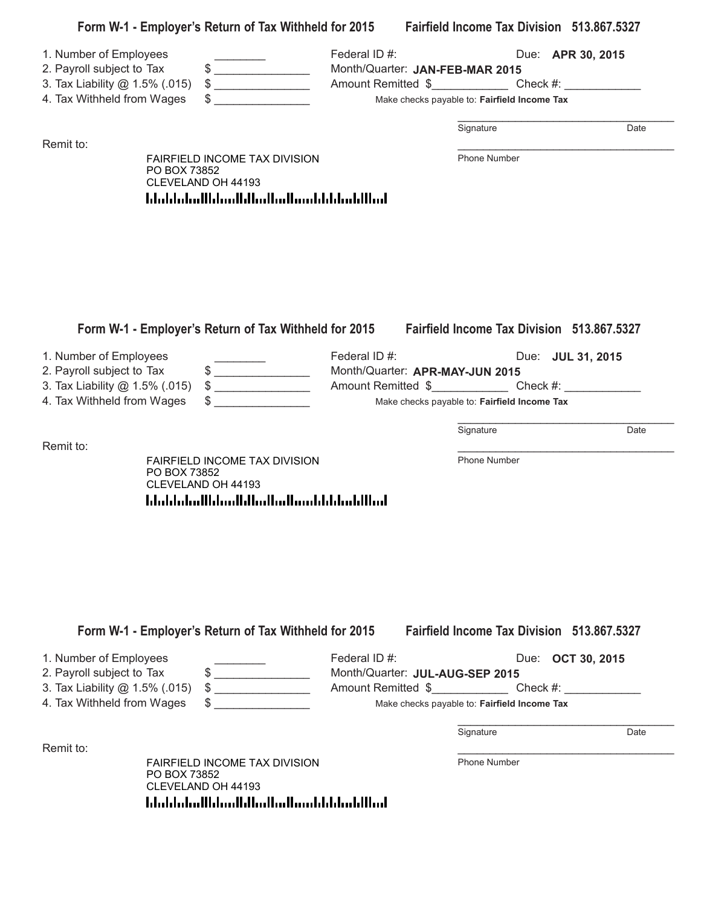| 1. Number of Employees<br>2. Payroll subject to Tax<br>3. Tax Liability @ 1.5% (.015) |              | Form W-1 - Employer's Return of Tax Withheld for 2015 Fairfield Income Tax Division 513.867.5327<br>$\qquad \qquad \  \  \, {\sf S} \underline{\hspace{1.5cm}}$<br>$\frac{1}{2}$                                                                                                                                                                                                                                                                                                                                                                                                | Federal ID#:<br>Month/Quarter: JAN-FEB-MAR 2015<br>Amount Remitted \$_______________________Check #: _______________________________ |  |                                              | Due: <b>APR 30, 2015</b> |      |
|---------------------------------------------------------------------------------------|--------------|---------------------------------------------------------------------------------------------------------------------------------------------------------------------------------------------------------------------------------------------------------------------------------------------------------------------------------------------------------------------------------------------------------------------------------------------------------------------------------------------------------------------------------------------------------------------------------|--------------------------------------------------------------------------------------------------------------------------------------|--|----------------------------------------------|--------------------------|------|
| 4. Tax Withheld from Wages                                                            |              | $\frac{1}{\sqrt{2}}$                                                                                                                                                                                                                                                                                                                                                                                                                                                                                                                                                            | Make checks payable to: Fairfield Income Tax                                                                                         |  |                                              |                          |      |
|                                                                                       |              |                                                                                                                                                                                                                                                                                                                                                                                                                                                                                                                                                                                 |                                                                                                                                      |  | Signature                                    |                          | Date |
| Remit to:                                                                             | PO BOX 73852 | FAIRFIELD INCOME TAX DIVISION<br>CLEVELAND OH 44193<br>المطالبا بمليا بالمستالس المبايا المساءا المباردا بالمليا                                                                                                                                                                                                                                                                                                                                                                                                                                                                |                                                                                                                                      |  | Phone Number                                 |                          |      |
| 1. Number of Employees<br>2. Payroll subject to Tax<br>3. Tax Liability @ 1.5% (.015) |              | Form W-1 - Employer's Return of Tax Withheld for 2015 Fairfield Income Tax Division 513.867.5327<br>$\begin{array}{c c c c c} \hline \multicolumn{3}{c }{\textbf{5}} & \multicolumn{3}{c }{\textbf{5}} \\ \hline \multicolumn{3}{c }{\textbf{6}} & \multicolumn{3}{c }{\textbf{6}} \\ \hline \multicolumn{3}{c }{\textbf{6}} & \multicolumn{3}{c }{\textbf{6}} \\ \hline \multicolumn{3}{c }{\textbf{6}} & \multicolumn{3}{c }{\textbf{6}} \\ \hline \multicolumn{3}{c }{\textbf{7}} & \multicolumn{3}{c }{\textbf{8}} \\ \hline \multicolumn{3}{c }{\textbf{8}} &$<br>$\big\}$ | Federal ID#:<br>Month/Quarter: APR-MAY-JUN 2015                                                                                      |  |                                              | Due: <b>JUL 31, 2015</b> |      |
| 4. Tax Withheld from Wages                                                            |              |                                                                                                                                                                                                                                                                                                                                                                                                                                                                                                                                                                                 |                                                                                                                                      |  | Make checks payable to: Fairfield Income Tax |                          |      |
| Remit to:                                                                             |              |                                                                                                                                                                                                                                                                                                                                                                                                                                                                                                                                                                                 |                                                                                                                                      |  | Signature                                    |                          | Date |
|                                                                                       | PO BOX 73852 | FAIRFIELD INCOME TAX DIVISION<br>CLEVELAND OH 44193<br>المطالبا بمليا بالمستلم المطالسا المساما بالماماء                                                                                                                                                                                                                                                                                                                                                                                                                                                                        |                                                                                                                                      |  | Phone Number                                 |                          |      |
|                                                                                       |              | Form W-1 - Employer's Return of Tax Withheld for 2015                                                                                                                                                                                                                                                                                                                                                                                                                                                                                                                           |                                                                                                                                      |  | Fairfield Income Tax Division 513.867.5327   |                          |      |
| 1. Number of Employees<br>2. Payroll subject to Tax<br>3. Tax Liability @ 1.5% (.015) |              | \$<br>$\qquad \qquad \$$                                                                                                                                                                                                                                                                                                                                                                                                                                                                                                                                                        | Federal ID#:<br>Month/Quarter: JUL-AUG-SEP 2015<br>Amount Remitted \$________________________Check #: ______________________________ |  |                                              | Due: <b>OCT 30, 2015</b> |      |
| 4. Tax Withheld from Wages                                                            |              |                                                                                                                                                                                                                                                                                                                                                                                                                                                                                                                                                                                 |                                                                                                                                      |  | Make checks payable to: Fairfield Income Tax |                          |      |
| Remit to:                                                                             |              |                                                                                                                                                                                                                                                                                                                                                                                                                                                                                                                                                                                 |                                                                                                                                      |  | Signature                                    |                          | Date |
|                                                                                       | PO BOX 73852 | FAIRFIELD INCOME TAX DIVISION<br>CLEVELAND OH 44193<br>المطالبانينا بالبارين بالمماليا المتبايا المباماتيانا                                                                                                                                                                                                                                                                                                                                                                                                                                                                    |                                                                                                                                      |  | Phone Number                                 |                          |      |